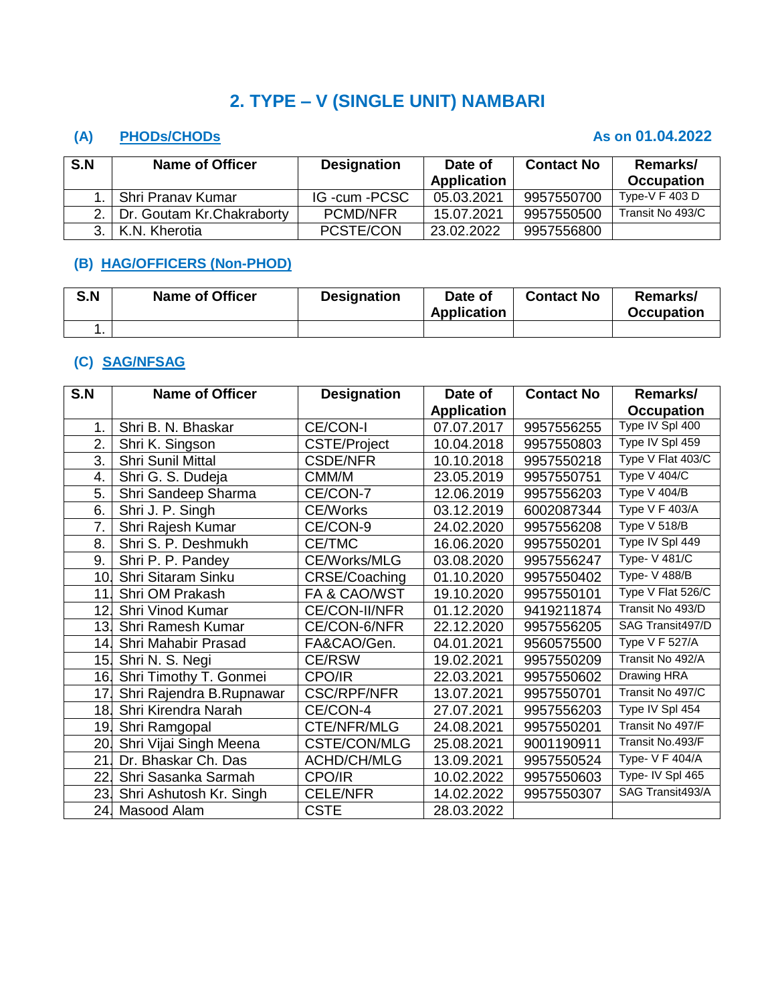# **2. TYPE – V (SINGLE UNIT) NAMBARI**

## **(A) PHODs/CHODs As on 01.04.2022**

| S.N | <b>Name of Officer</b>          | <b>Designation</b> | Date of<br><b>Application</b> | <b>Contact No</b> | Remarks/<br><b>Occupation</b> |
|-----|---------------------------------|--------------------|-------------------------------|-------------------|-------------------------------|
|     | Shri Pranav Kumar               | IG -cum -PCSC      | 05.03.2021                    | 9957550700        | Type-V $F$ 403 D              |
|     | 2.   Dr. Goutam Kr. Chakraborty | PCMD/NFR           | 15.07.2021                    | 9957550500        | Transit No 493/C              |
|     | 3.   K.N. Kherotia              | PCSTE/CON          | 23.02.2022                    | 9957556800        |                               |

## **(B) HAG/OFFICERS (Non-PHOD)**

| S.N | <b>Name of Officer</b> | <b>Designation</b> | Date of<br>Application | <b>Contact No</b> | Remarks/<br><b>Occupation</b> |
|-----|------------------------|--------------------|------------------------|-------------------|-------------------------------|
|     |                        |                    |                        |                   |                               |

### **(C) SAG/NFSAG**

| S.N | <b>Name of Officer</b>   | <b>Designation</b>      | Date of            | <b>Contact No</b> | Remarks/             |
|-----|--------------------------|-------------------------|--------------------|-------------------|----------------------|
|     |                          |                         | <b>Application</b> |                   | <b>Occupation</b>    |
| 1.  | Shri B. N. Bhaskar       | CE/CON-I                | 07.07.2017         | 9957556255        | Type IV Spl 400      |
| 2.  | Shri K. Singson          | <b>CSTE/Project</b>     | 10.04.2018         | 9957550803        | Type IV Spl 459      |
| 3.  | Shri Sunil Mittal        | <b>CSDE/NFR</b>         | 10.10.2018         | 9957550218        | Type V Flat 403/C    |
| 4.  | Shri G. S. Dudeja        | CMM/M                   | 23.05.2019         | 9957550751        | Type V 404/C         |
| 5.  | Shri Sandeep Sharma      | CE/CON-7                | 12.06.2019         | 9957556203        | Type V 404/B         |
| 6.  | Shri J. P. Singh         | <b>CE/Works</b>         | 03.12.2019         | 6002087344        | Type V F 403/A       |
| 7.  | Shri Rajesh Kumar        | CE/CON-9                | 24.02.2020         | 9957556208        | Type V 518/B         |
| 8.  | Shri S. P. Deshmukh      | CE/TMC                  | 16.06.2020         | 9957550201        | Type IV Spl 449      |
| 9.  | Shri P. P. Pandey        | <b>CE/Works/MLG</b>     | 03.08.2020         | 9957556247        | <b>Type- V 481/C</b> |
| 10. | Shri Sitaram Sinku       | CRSE/Coaching           | 01.10.2020         | 9957550402        | Type- V 488/B        |
| 11. | Shri OM Prakash          | <b>FA &amp; CAO/WST</b> | 19.10.2020         | 9957550101        | Type V Flat 526/C    |
| 12. | Shri Vinod Kumar         | CE/CON-II/NFR           | 01.12.2020         | 9419211874        | Transit No 493/D     |
| 13. | Shri Ramesh Kumar        | CE/CON-6/NFR            | 22.12.2020         | 9957556205        | SAG Transit497/D     |
| 14. | Shri Mahabir Prasad      | FA&CAO/Gen.             | 04.01.2021         | 9560575500        | Type V F 527/A       |
| 15. | Shri N. S. Negi          | <b>CE/RSW</b>           | 19.02.2021         | 9957550209        | Transit No 492/A     |
| 16. | Shri Timothy T. Gonmei   | CPO/IR                  | 22.03.2021         | 9957550602        | Drawing HRA          |
| 17  | Shri Rajendra B.Rupnawar | <b>CSC/RPF/NFR</b>      | 13.07.2021         | 9957550701        | Transit No 497/C     |
| 18. | Shri Kirendra Narah      | CE/CON-4                | 27.07.2021         | 9957556203        | Type IV Spl 454      |
| 19. | Shri Ramgopal            | CTE/NFR/MLG             | 24.08.2021         | 9957550201        | Transit No 497/F     |
| 20. | Shri Vijai Singh Meena   | CSTE/CON/MLG            | 25.08.2021         | 9001190911        | Transit No.493/F     |
| 21  | Dr. Bhaskar Ch. Das      | <b>ACHD/CH/MLG</b>      | 13.09.2021         | 9957550524        | Type- V F 404/A      |
| 22. | Shri Sasanka Sarmah      | CPO/IR                  | 10.02.2022         | 9957550603        | Type- IV Spl 465     |
| 23. | Shri Ashutosh Kr. Singh  | <b>CELE/NFR</b>         | 14.02.2022         | 9957550307        | SAG Transit493/A     |
|     | 24. Masood Alam          | <b>CSTE</b>             | 28.03.2022         |                   |                      |